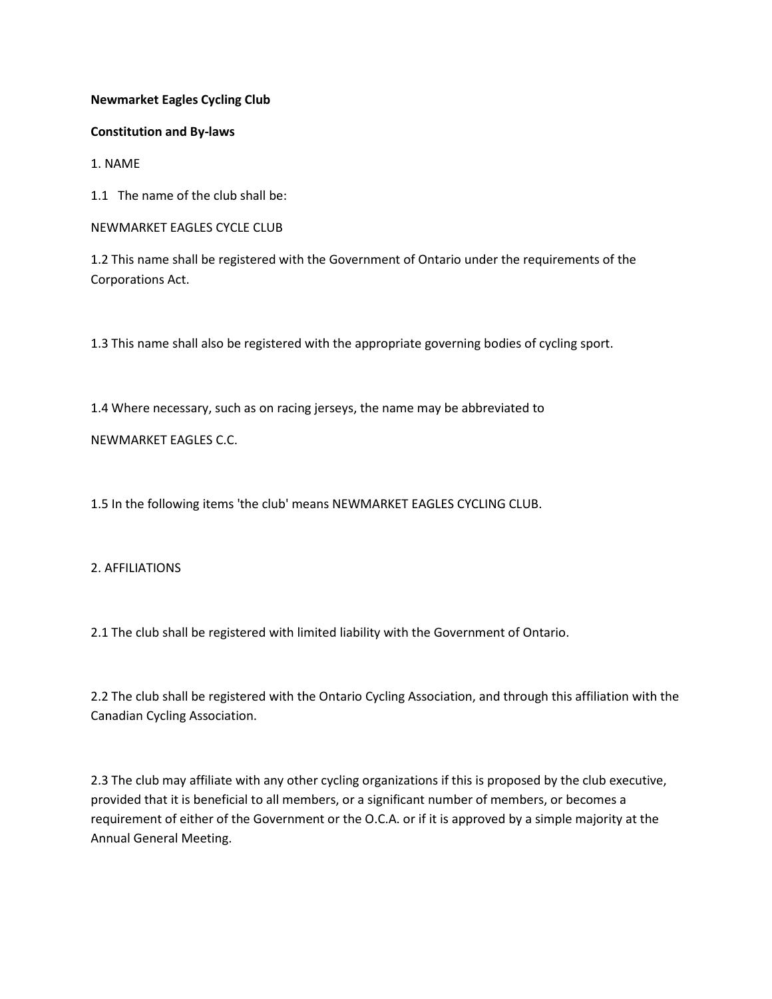## **Newmarket Eagles Cycling Club**

### **Constitution and By-laws**

1. NAME

1.1 The name of the club shall be:

NEWMARKET EAGLES CYCLE CLUB

1.2 This name shall be registered with the Government of Ontario under the requirements of the Corporations Act.

1.3 This name shall also be registered with the appropriate governing bodies of cycling sport.

1.4 Where necessary, such as on racing jerseys, the name may be abbreviated to

## NEWMARKET EAGLES C.C.

1.5 In the following items 'the club' means NEWMARKET EAGLES CYCLING CLUB.

## 2. AFFILIATIONS

2.1 The club shall be registered with limited liability with the Government of Ontario.

2.2 The club shall be registered with the Ontario Cycling Association, and through this affiliation with the Canadian Cycling Association.

2.3 The club may affiliate with any other cycling organizations if this is proposed by the club executive, provided that it is beneficial to all members, or a significant number of members, or becomes a requirement of either of the Government or the O.C.A. or if it is approved by a simple majority at the Annual General Meeting.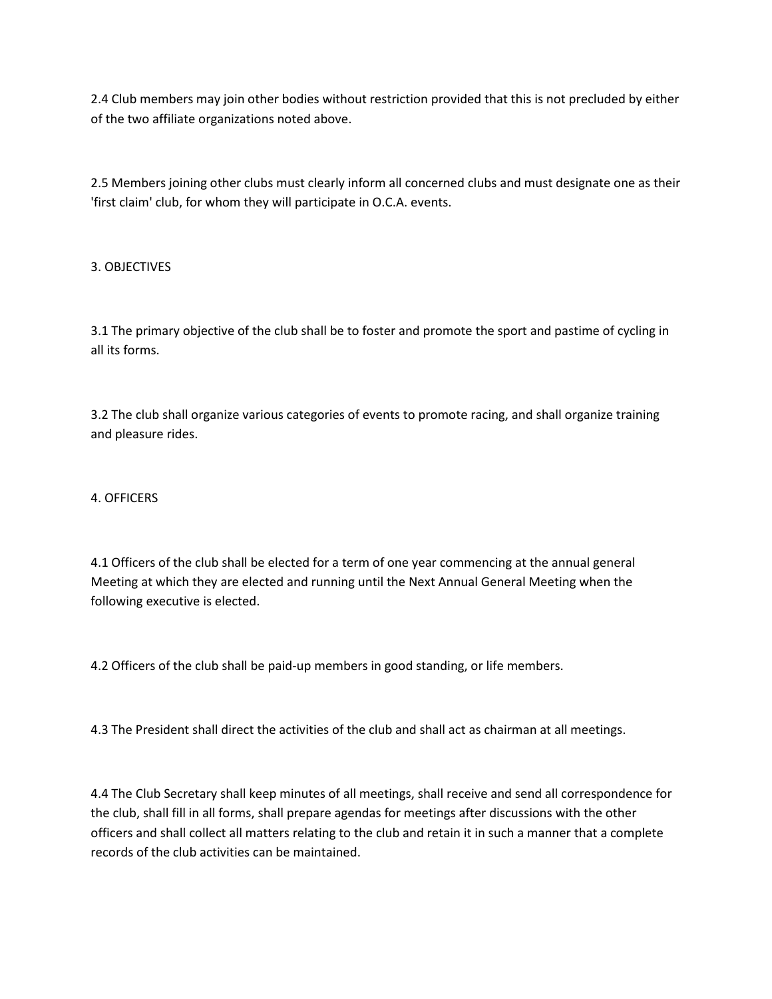2.4 Club members may join other bodies without restriction provided that this is not precluded by either of the two affiliate organizations noted above.

2.5 Members joining other clubs must clearly inform all concerned clubs and must designate one as their 'first claim' club, for whom they will participate in O.C.A. events.

# 3. OBJECTIVES

3.1 The primary objective of the club shall be to foster and promote the sport and pastime of cycling in all its forms.

3.2 The club shall organize various categories of events to promote racing, and shall organize training and pleasure rides.

## 4. OFFICERS

4.1 Officers of the club shall be elected for a term of one year commencing at the annual general Meeting at which they are elected and running until the Next Annual General Meeting when the following executive is elected.

4.2 Officers of the club shall be paid-up members in good standing, or life members.

4.3 The President shall direct the activities of the club and shall act as chairman at all meetings.

4.4 The Club Secretary shall keep minutes of all meetings, shall receive and send all correspondence for the club, shall fill in all forms, shall prepare agendas for meetings after discussions with the other officers and shall collect all matters relating to the club and retain it in such a manner that a complete records of the club activities can be maintained.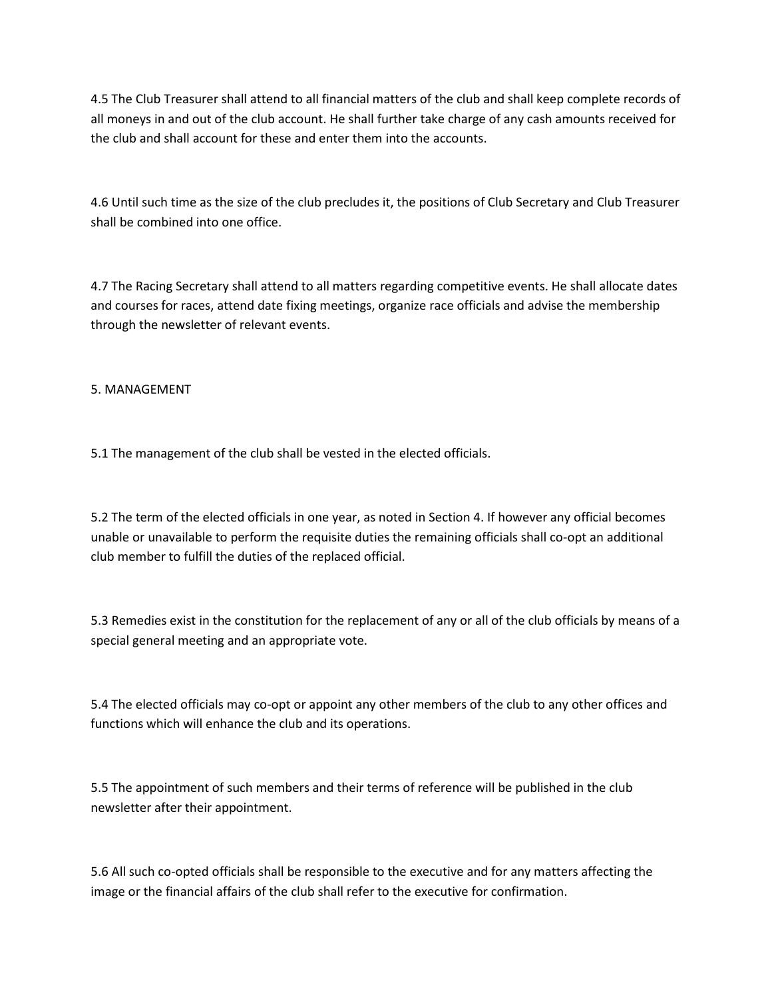4.5 The Club Treasurer shall attend to all financial matters of the club and shall keep complete records of all moneys in and out of the club account. He shall further take charge of any cash amounts received for the club and shall account for these and enter them into the accounts.

4.6 Until such time as the size of the club precludes it, the positions of Club Secretary and Club Treasurer shall be combined into one office.

4.7 The Racing Secretary shall attend to all matters regarding competitive events. He shall allocate dates and courses for races, attend date fixing meetings, organize race officials and advise the membership through the newsletter of relevant events.

## 5. MANAGEMENT

5.1 The management of the club shall be vested in the elected officials.

5.2 The term of the elected officials in one year, as noted in Section 4. If however any official becomes unable or unavailable to perform the requisite duties the remaining officials shall co-opt an additional club member to fulfill the duties of the replaced official.

5.3 Remedies exist in the constitution for the replacement of any or all of the club officials by means of a special general meeting and an appropriate vote.

5.4 The elected officials may co-opt or appoint any other members of the club to any other offices and functions which will enhance the club and its operations.

5.5 The appointment of such members and their terms of reference will be published in the club newsletter after their appointment.

5.6 All such co-opted officials shall be responsible to the executive and for any matters affecting the image or the financial affairs of the club shall refer to the executive for confirmation.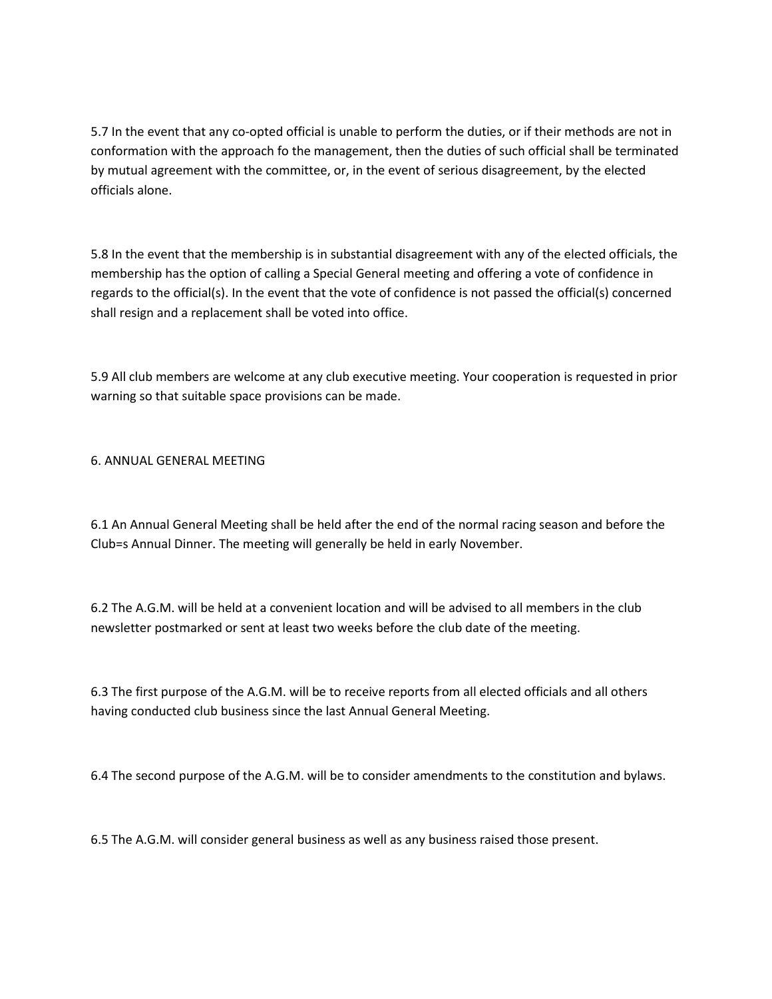5.7 In the event that any co-opted official is unable to perform the duties, or if their methods are not in conformation with the approach fo the management, then the duties of such official shall be terminated by mutual agreement with the committee, or, in the event of serious disagreement, by the elected officials alone.

5.8 In the event that the membership is in substantial disagreement with any of the elected officials, the membership has the option of calling a Special General meeting and offering a vote of confidence in regards to the official(s). In the event that the vote of confidence is not passed the official(s) concerned shall resign and a replacement shall be voted into office.

5.9 All club members are welcome at any club executive meeting. Your cooperation is requested in prior warning so that suitable space provisions can be made.

6. ANNUAL GENERAL MEETING

6.1 An Annual General Meeting shall be held after the end of the normal racing season and before the Club=s Annual Dinner. The meeting will generally be held in early November.

6.2 The A.G.M. will be held at a convenient location and will be advised to all members in the club newsletter postmarked or sent at least two weeks before the club date of the meeting.

6.3 The first purpose of the A.G.M. will be to receive reports from all elected officials and all others having conducted club business since the last Annual General Meeting.

6.4 The second purpose of the A.G.M. will be to consider amendments to the constitution and bylaws.

6.5 The A.G.M. will consider general business as well as any business raised those present.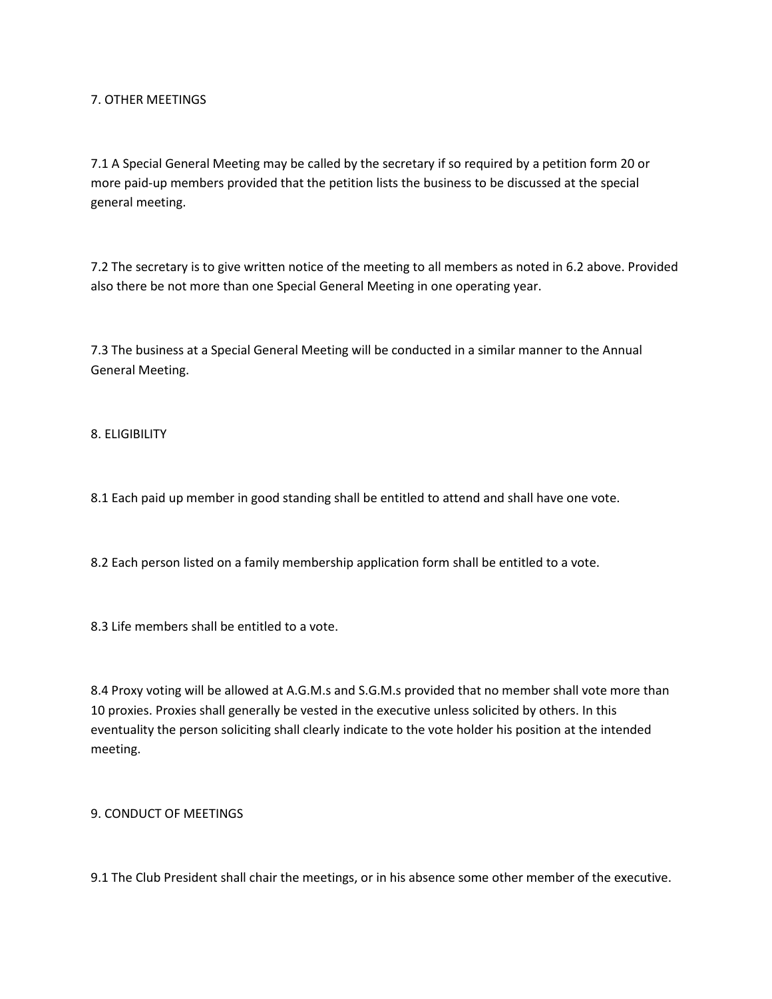7. OTHER MEETINGS

7.1 A Special General Meeting may be called by the secretary if so required by a petition form 20 or more paid-up members provided that the petition lists the business to be discussed at the special general meeting.

7.2 The secretary is to give written notice of the meeting to all members as noted in 6.2 above. Provided also there be not more than one Special General Meeting in one operating year.

7.3 The business at a Special General Meeting will be conducted in a similar manner to the Annual General Meeting.

8. ELIGIBILITY

8.1 Each paid up member in good standing shall be entitled to attend and shall have one vote.

8.2 Each person listed on a family membership application form shall be entitled to a vote.

8.3 Life members shall be entitled to a vote.

8.4 Proxy voting will be allowed at A.G.M.s and S.G.M.s provided that no member shall vote more than 10 proxies. Proxies shall generally be vested in the executive unless solicited by others. In this eventuality the person soliciting shall clearly indicate to the vote holder his position at the intended meeting.

9. CONDUCT OF MEETINGS

9.1 The Club President shall chair the meetings, or in his absence some other member of the executive.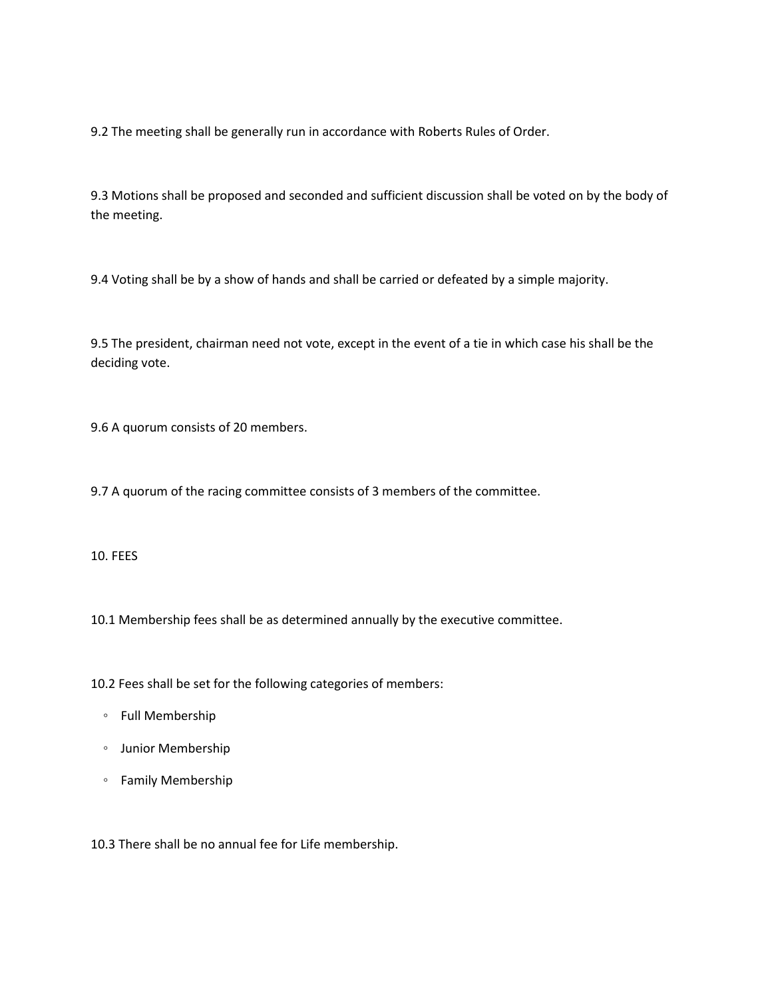9.2 The meeting shall be generally run in accordance with Roberts Rules of Order.

9.3 Motions shall be proposed and seconded and sufficient discussion shall be voted on by the body of the meeting.

9.4 Voting shall be by a show of hands and shall be carried or defeated by a simple majority.

9.5 The president, chairman need not vote, except in the event of a tie in which case his shall be the deciding vote.

9.6 A quorum consists of 20 members.

9.7 A quorum of the racing committee consists of 3 members of the committee.

10. FEES

10.1 Membership fees shall be as determined annually by the executive committee.

10.2 Fees shall be set for the following categories of members:

- Full Membership
- Junior Membership
- Family Membership

10.3 There shall be no annual fee for Life membership.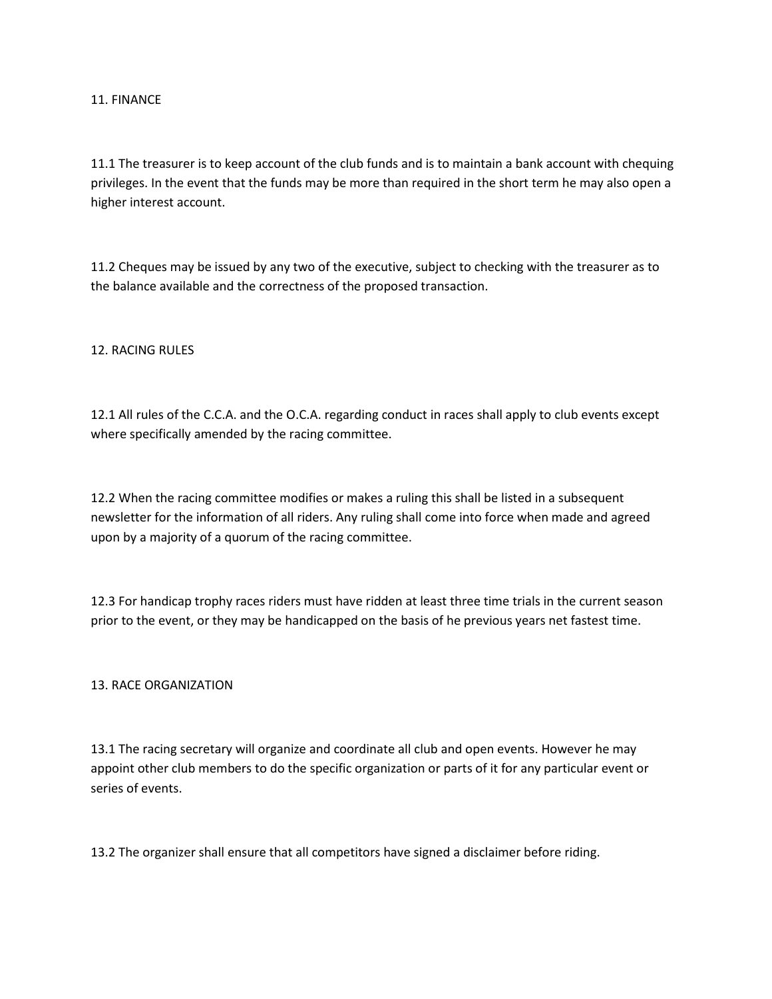11. FINANCE

11.1 The treasurer is to keep account of the club funds and is to maintain a bank account with chequing privileges. In the event that the funds may be more than required in the short term he may also open a higher interest account.

11.2 Cheques may be issued by any two of the executive, subject to checking with the treasurer as to the balance available and the correctness of the proposed transaction.

12. RACING RULES

12.1 All rules of the C.C.A. and the O.C.A. regarding conduct in races shall apply to club events except where specifically amended by the racing committee.

12.2 When the racing committee modifies or makes a ruling this shall be listed in a subsequent newsletter for the information of all riders. Any ruling shall come into force when made and agreed upon by a majority of a quorum of the racing committee.

12.3 For handicap trophy races riders must have ridden at least three time trials in the current season prior to the event, or they may be handicapped on the basis of he previous years net fastest time.

### 13. RACE ORGANIZATION

13.1 The racing secretary will organize and coordinate all club and open events. However he may appoint other club members to do the specific organization or parts of it for any particular event or series of events.

13.2 The organizer shall ensure that all competitors have signed a disclaimer before riding.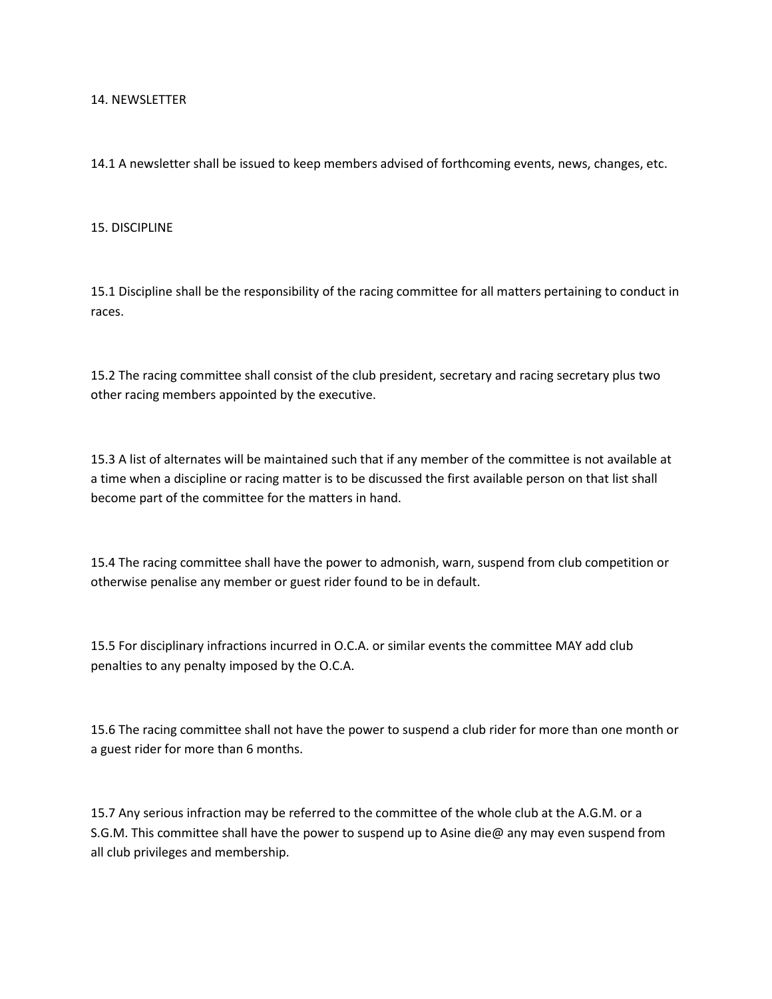#### 14. NEWSLETTER

14.1 A newsletter shall be issued to keep members advised of forthcoming events, news, changes, etc.

### 15. DISCIPLINE

15.1 Discipline shall be the responsibility of the racing committee for all matters pertaining to conduct in races.

15.2 The racing committee shall consist of the club president, secretary and racing secretary plus two other racing members appointed by the executive.

15.3 A list of alternates will be maintained such that if any member of the committee is not available at a time when a discipline or racing matter is to be discussed the first available person on that list shall become part of the committee for the matters in hand.

15.4 The racing committee shall have the power to admonish, warn, suspend from club competition or otherwise penalise any member or guest rider found to be in default.

15.5 For disciplinary infractions incurred in O.C.A. or similar events the committee MAY add club penalties to any penalty imposed by the O.C.A.

15.6 The racing committee shall not have the power to suspend a club rider for more than one month or a guest rider for more than 6 months.

15.7 Any serious infraction may be referred to the committee of the whole club at the A.G.M. or a S.G.M. This committee shall have the power to suspend up to Asine die@ any may even suspend from all club privileges and membership.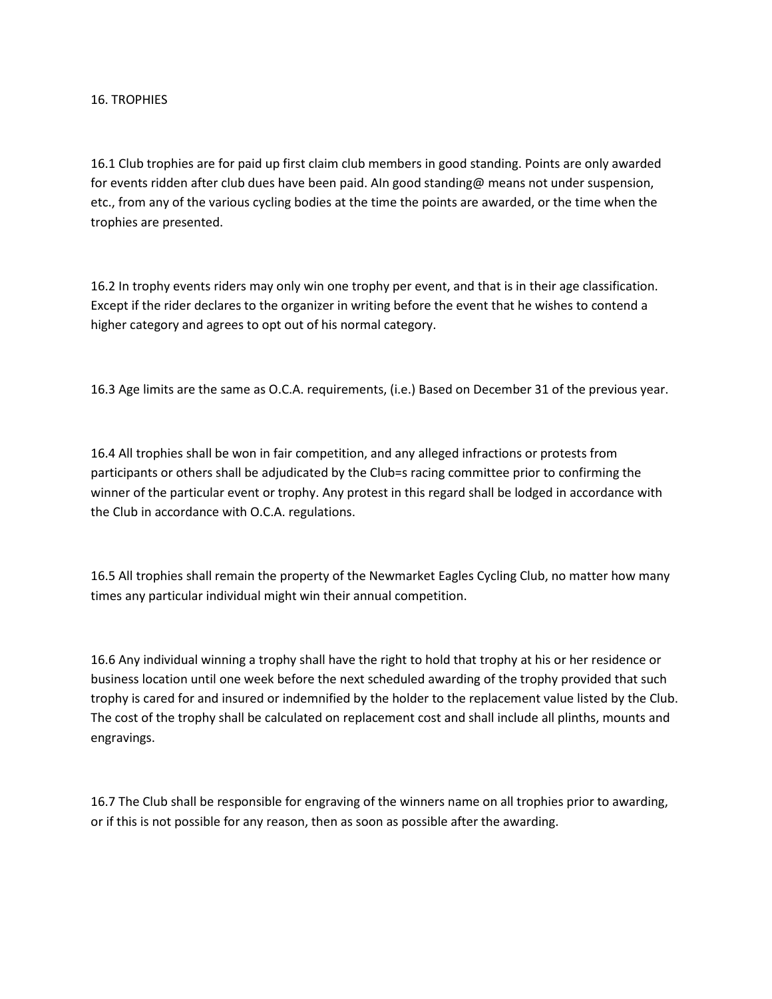### 16. TROPHIES

16.1 Club trophies are for paid up first claim club members in good standing. Points are only awarded for events ridden after club dues have been paid. AIn good standing@ means not under suspension, etc., from any of the various cycling bodies at the time the points are awarded, or the time when the trophies are presented.

16.2 In trophy events riders may only win one trophy per event, and that is in their age classification. Except if the rider declares to the organizer in writing before the event that he wishes to contend a higher category and agrees to opt out of his normal category.

16.3 Age limits are the same as O.C.A. requirements, (i.e.) Based on December 31 of the previous year.

16.4 All trophies shall be won in fair competition, and any alleged infractions or protests from participants or others shall be adjudicated by the Club=s racing committee prior to confirming the winner of the particular event or trophy. Any protest in this regard shall be lodged in accordance with the Club in accordance with O.C.A. regulations.

16.5 All trophies shall remain the property of the Newmarket Eagles Cycling Club, no matter how many times any particular individual might win their annual competition.

16.6 Any individual winning a trophy shall have the right to hold that trophy at his or her residence or business location until one week before the next scheduled awarding of the trophy provided that such trophy is cared for and insured or indemnified by the holder to the replacement value listed by the Club. The cost of the trophy shall be calculated on replacement cost and shall include all plinths, mounts and engravings.

16.7 The Club shall be responsible for engraving of the winners name on all trophies prior to awarding, or if this is not possible for any reason, then as soon as possible after the awarding.